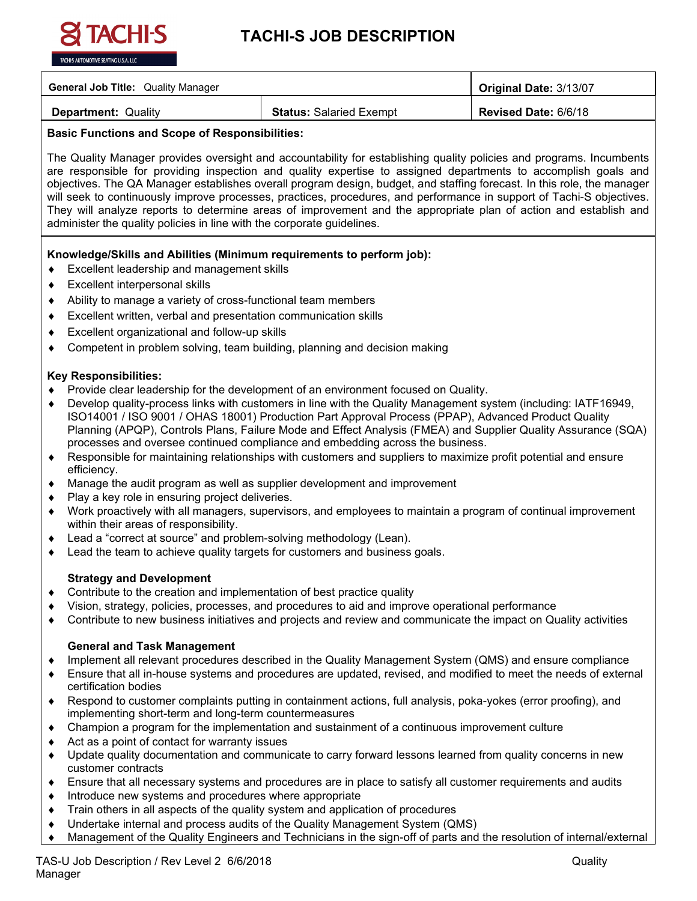

# **TACHI-S JOB DESCRIPTION**

| <b>General Job Title: Quality Manager</b> |                                | Original Date: 3/13/07      |
|-------------------------------------------|--------------------------------|-----------------------------|
| <b>Department: Quality</b>                | <b>Status: Salaried Exempt</b> | <b>Revised Date: 6/6/18</b> |

# **Basic Functions and Scope of Responsibilities:**

The Quality Manager provides oversight and accountability for establishing quality policies and programs. Incumbents are responsible for providing inspection and quality expertise to assigned departments to accomplish goals and objectives. The QA Manager establishes overall program design, budget, and staffing forecast. In this role, the manager will seek to continuously improve processes, practices, procedures, and performance in support of Tachi-S objectives. They will analyze reports to determine areas of improvement and the appropriate plan of action and establish and administer the quality policies in line with the corporate guidelines.

## **Knowledge/Skills and Abilities (Minimum requirements to perform job):**

- ♦ Excellent leadership and management skills
- Excellent interpersonal skills
- Ability to manage a variety of cross-functional team members
- ♦ Excellent written, verbal and presentation communication skills
- Excellent organizational and follow-up skills
- Competent in problem solving, team building, planning and decision making

## **Key Responsibilities:**

- Provide clear leadership for the development of an environment focused on Quality.
- Develop quality-process links with customers in line with the Quality Management system (including: IATF16949, ISO14001 / ISO 9001 / OHAS 18001) Production Part Approval Process (PPAP), Advanced Product Quality Planning (APQP), Controls Plans, Failure Mode and Effect Analysis (FMEA) and Supplier Quality Assurance (SQA) processes and oversee continued compliance and embedding across the business.
- ♦ Responsible for maintaining relationships with customers and suppliers to maximize profit potential and ensure efficiency.
- ♦ Manage the audit program as well as supplier development and improvement
- Play a key role in ensuring project deliveries.
- ♦ Work proactively with all managers, supervisors, and employees to maintain a program of continual improvement within their areas of responsibility.
- ♦ Lead a "correct at source" and problem-solving methodology (Lean).
- Lead the team to achieve quality targets for customers and business goals.

# **Strategy and Development**

- ♦ Contribute to the creation and implementation of best practice quality
- Vision, strategy, policies, processes, and procedures to aid and improve operational performance
- Contribute to new business initiatives and projects and review and communicate the impact on Quality activities

### **General and Task Management**

- ♦ Implement all relevant procedures described in the Quality Management System (QMS) and ensure compliance
- ♦ Ensure that all in-house systems and procedures are updated, revised, and modified to meet the needs of external certification bodies
- ♦ Respond to customer complaints putting in containment actions, full analysis, poka-yokes (error proofing), and implementing short-term and long-term countermeasures
- ♦ Champion a program for the implementation and sustainment of a continuous improvement culture
- Act as a point of contact for warranty issues
- Update quality documentation and communicate to carry forward lessons learned from quality concerns in new customer contracts
- ♦ Ensure that all necessary systems and procedures are in place to satisfy all customer requirements and audits
- Introduce new systems and procedures where appropriate
- Train others in all aspects of the quality system and application of procedures
- Undertake internal and process audits of the Quality Management System (QMS)
- Management of the Quality Engineers and Technicians in the sign-off of parts and the resolution of internal/external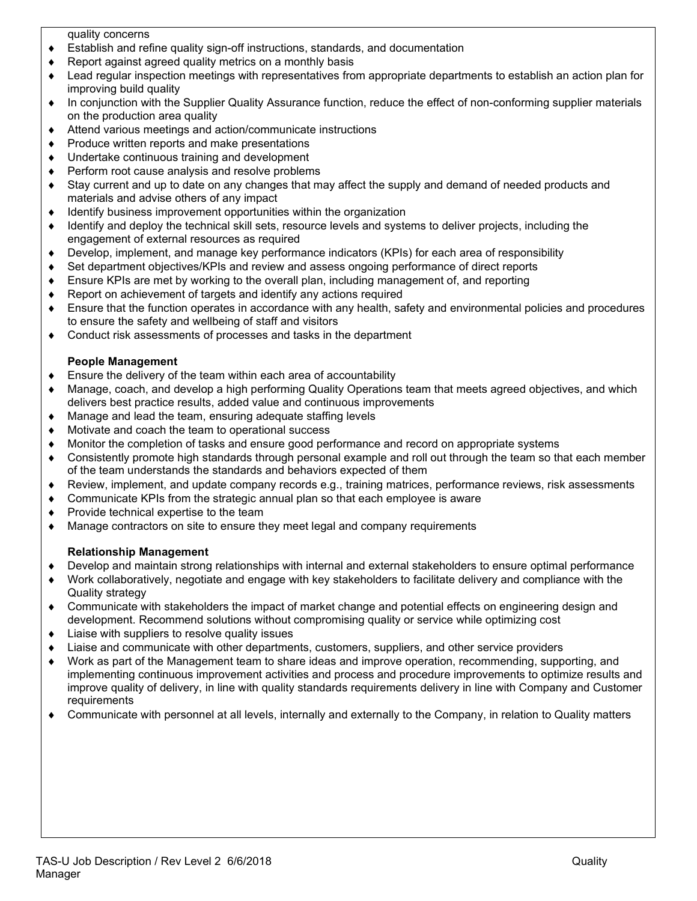quality concerns

- ♦ Establish and refine quality sign-off instructions, standards, and documentation
- ♦ Report against agreed quality metrics on a monthly basis
- ♦ Lead regular inspection meetings with representatives from appropriate departments to establish an action plan for improving build quality
- ♦ In conjunction with the Supplier Quality Assurance function, reduce the effect of non-conforming supplier materials on the production area quality
- ♦ Attend various meetings and action/communicate instructions
- Produce written reports and make presentations
- Undertake continuous training and development
- Perform root cause analysis and resolve problems
- Stay current and up to date on any changes that may affect the supply and demand of needed products and materials and advise others of any impact
- ♦ Identify business improvement opportunities within the organization
- ♦ Identify and deploy the technical skill sets, resource levels and systems to deliver projects, including the engagement of external resources as required
- ♦ Develop, implement, and manage key performance indicators (KPIs) for each area of responsibility
- Set department objectives/KPIs and review and assess ongoing performance of direct reports
- ♦ Ensure KPIs are met by working to the overall plan, including management of, and reporting
- Report on achievement of targets and identify any actions required
- Ensure that the function operates in accordance with any health, safety and environmental policies and procedures to ensure the safety and wellbeing of staff and visitors
- ♦ Conduct risk assessments of processes and tasks in the department

### **People Management**

- ♦ Ensure the delivery of the team within each area of accountability
- Manage, coach, and develop a high performing Quality Operations team that meets agreed objectives, and which delivers best practice results, added value and continuous improvements
- ♦ Manage and lead the team, ensuring adequate staffing levels
- Motivate and coach the team to operational success
- Monitor the completion of tasks and ensure good performance and record on appropriate systems
- ♦ Consistently promote high standards through personal example and roll out through the team so that each member of the team understands the standards and behaviors expected of them
- ♦ Review, implement, and update company records e.g., training matrices, performance reviews, risk assessments
- Communicate KPIs from the strategic annual plan so that each employee is aware
- Provide technical expertise to the team
- Manage contractors on site to ensure they meet legal and company requirements

### **Relationship Management**

- ♦ Develop and maintain strong relationships with internal and external stakeholders to ensure optimal performance
- Work collaboratively, negotiate and engage with key stakeholders to facilitate delivery and compliance with the Quality strategy
- ♦ Communicate with stakeholders the impact of market change and potential effects on engineering design and development. Recommend solutions without compromising quality or service while optimizing cost
- ♦ Liaise with suppliers to resolve quality issues
- Liaise and communicate with other departments, customers, suppliers, and other service providers
- Work as part of the Management team to share ideas and improve operation, recommending, supporting, and implementing continuous improvement activities and process and procedure improvements to optimize results and improve quality of delivery, in line with quality standards requirements delivery in line with Company and Customer requirements
- ♦ Communicate with personnel at all levels, internally and externally to the Company, in relation to Quality matters